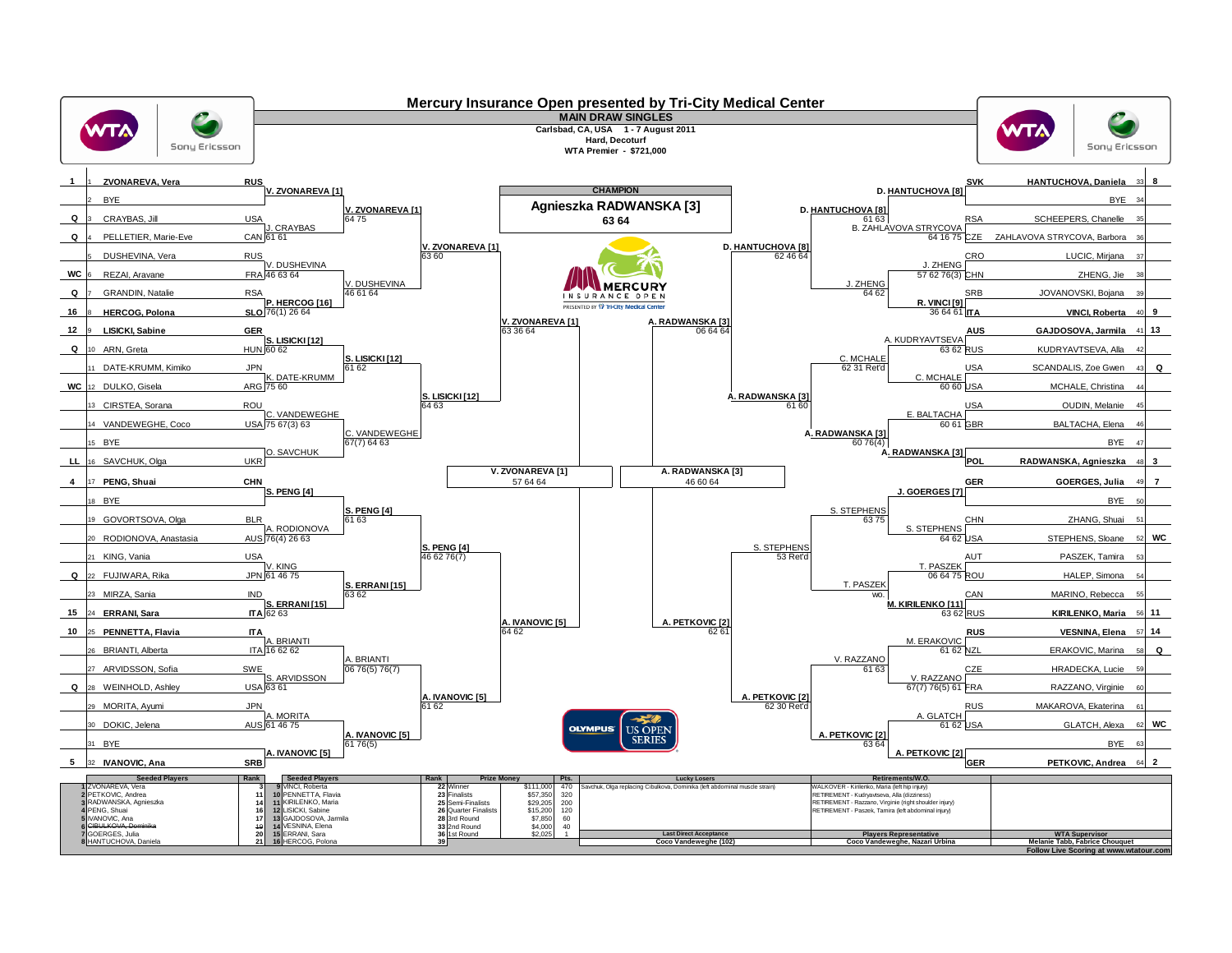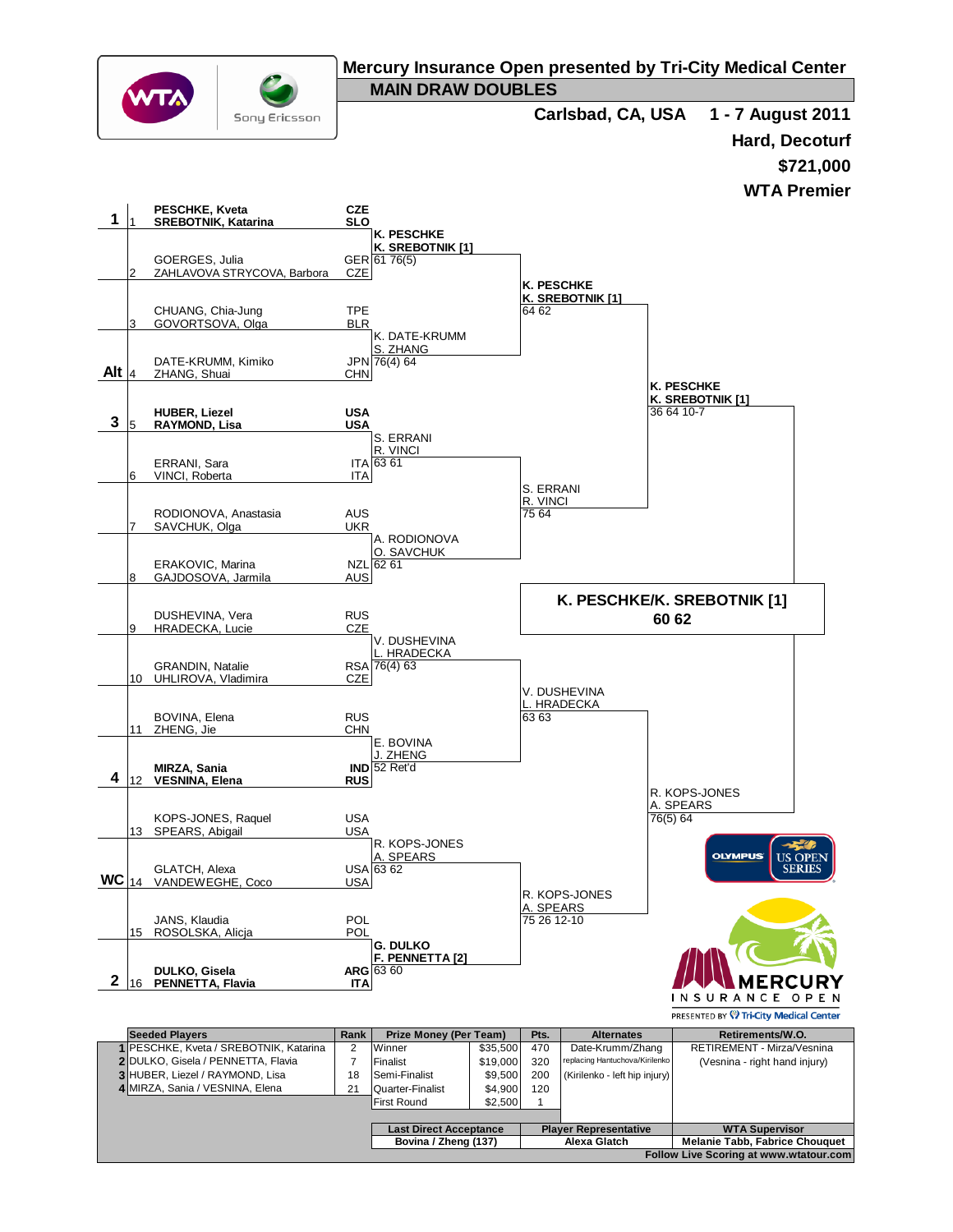